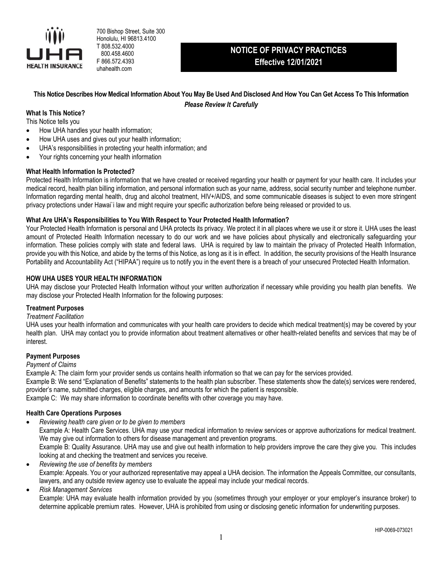

700 Bishop Street, Suite 300 Honolulu, HI 96813.4100 T 808.532.4000 800.458.4600 F 866.572.4393 uhahealth.com

# **NOTICE OF PRIVACY PRACTICES Effective 12/01/2021**

**This Notice Describes How Medical Information About You May Be Used And Disclosed And How You Can Get Access To This Information** *Please Review It Carefully*

## **What Is This Notice?**

This Notice tells you

- How UHA handles your health information;
- How UHA uses and gives out your health information;
- UHA's responsibilities in protecting your health information; and
- Your rights concerning your health information

#### **What Health Information Is Protected?**

Protected Health Information is information that we have created or received regarding your health or payment for your health care. It includes your medical record, health plan billing information, and personal information such as your name, address, social security number and telephone number. Information regarding mental health, drug and alcohol treatment, HIV+/AIDS, and some communicable diseases is subject to even more stringent privacy protections under Hawai`i law and might require your specific authorization before being released or provided to us.

## **What Are UHA's Responsibilities to You With Respect to Your Protected Health Information?**

Your Protected Health Information is personal and UHA protects its privacy. We protect it in all places where we use it or store it. UHA uses the least amount of Protected Health Information necessary to do our work and we have policies about physically and electronically safeguarding your information. These policies comply with state and federal laws. UHA is required by law to maintain the privacy of Protected Health Information, provide you with this Notice, and abide by the terms of this Notice, as long as it is in effect. In addition, the security provisions of the Health Insurance Portability and Accountability Act ("HIPAA") require us to notify you in the event there is a breach of your unsecured Protected Health Information.

## **HOW UHA USES YOUR HEALTH INFORMATION**

UHA may disclose your Protected Health Information without your written authorization if necessary while providing you health plan benefits. We may disclose your Protected Health Information for the following purposes:

#### **Treatment Purposes**

#### *Treatment Facilitation*

UHA uses your health information and communicates with your health care providers to decide which medical treatment(s) may be covered by your health plan. UHA may contact you to provide information about treatment alternatives or other health-related benefits and services that may be of interest.

#### **Payment Purposes**

#### *Payment of Claims*

Example A: The claim form your provider sends us contains health information so that we can pay for the services provided.

Example B: We send "Explanation of Benefits" statements to the health plan subscriber. These statements show the date(s) services were rendered, provider's name, submitted charges, eligible charges, and amounts for which the patient is responsible.

Example C: We may share information to coordinate benefits with other coverage you may have.

## **Health Care Operations Purposes**

- *Reviewing health care given or to be given to members* Example A: Health Care Services. UHA may use your medical information to review services or approve authorizations for medical treatment. We may give out information to others for disease management and prevention programs. Example B: Quality Assurance. UHA may use and give out health information to help providers improve the care they give you. This includes looking at and checking the treatment and services you receive.
- *Reviewing the use of benefits by members* Example: Appeals. You or your authorized representative may appeal a UHA decision. The information the Appeals Committee, our consultants, lawyers, and any outside review agency use to evaluate the appeal may include your medical records.

#### *Risk Management Services*

Example: UHA may evaluate health information provided by you (sometimes through your employer or your employer's insurance broker) to determine applicable premium rates. However, UHA is prohibited from using or disclosing genetic information for underwriting purposes.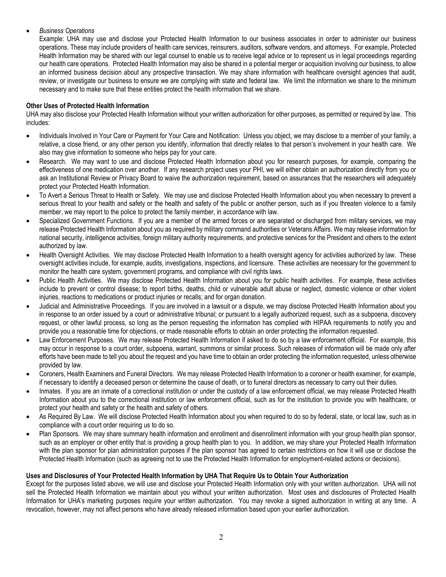# *Business Operations*

Example: UHA may use and disclose your Protected Health Information to our business associates in order to administer our business operations. These may include providers of health care services, reinsurers, auditors, software vendors, and attorneys. For example, Protected Health Information may be shared with our legal counsel to enable us to receive legal advice or to represent us in legal proceedings regarding our health care operations. Protected Health Information may also be shared in a potential merger or acquisition involving our business, to allow an informed business decision about any prospective transaction. We may share information with healthcare oversight agencies that audit, review, or investigate our business to ensure we are complying with state and federal law. We limit the information we share to the minimum necessary and to make sure that these entities protect the health information that we share.

## **Other Uses of Protected Health Information**

UHA may also disclose your Protected Health Information without your written authorization for other purposes, as permitted or required by law. This includes:

- Individuals Involved in Your Care or Payment for Your Care and Notification: Unless you object, we may disclose to a member of your family, a relative, a close friend, or any other person you identify, information that directly relates to that person's involvement in your health care. We also may give information to someone who helps pay for your care.
- Research. We may want to use and disclose Protected Health Information about you for research purposes, for example, comparing the effectiveness of one medication over another. If any research project uses your PHI, we will either obtain an authorization directly from you or ask an Institutional Review or Privacy Board to waive the authorization requirement, based on assurances that the researchers will adequately protect your Protected Health Information.
- To Avert a Serious Threat to Health or Safety. We may use and disclose Protected Health Information about you when necessary to prevent a serious threat to your health and safety or the health and safety of the public or another person, such as if you threaten violence to a family member, we may report to the police to protect the family member, in accordance with law.
- Specialized Government Functions. If you are a member of the armed forces or are separated or discharged from military services, we may release Protected Health Information about you as required by military command authorities or Veterans Affairs. We may release information for national security, intelligence activities, foreign military authority requirements, and protective services for the President and others to the extent authorized by law.
- Health Oversight Activities. We may disclose Protected Health Information to a health oversight agency for activities authorized by law. These oversight activities include, for example, audits, investigations, inspections, and licensure. These activities are necessary for the government to monitor the health care system, government programs, and compliance with civil rights laws.
- Public Health Activities. We may disclose Protected Health Information about you for public health activities. For example, these activities include to prevent or control disease; to report births, deaths, child or vulnerable adult abuse or neglect, domestic violence or other violent injuries, reactions to medications or product injuries or recalls; and for organ donation.
- Judicial and Administrative Proceedings. If you are involved in a lawsuit or a dispute, we may disclose Protected Health Information about you in response to an order issued by a court or administrative tribunal; or pursuant to a legally authorized request, such as a subpoena, discovery request, or other lawful process, so long as the person requesting the information has complied with HIPAA requirements to notify you and provide you a reasonable time for objections, or made reasonable efforts to obtain an order protecting the information requested.
- Law Enforcement Purposes. We may release Protected Health Information if asked to do so by a law enforcement official. For example, this may occur in response to a court order, subpoena, warrant, summons or similar process. Such releases of information will be made only after efforts have been made to tell you about the request and you have time to obtain an order protecting the information requested, unless otherwise provided by law.
- Coroners, Health Examiners and Funeral Directors. We may release Protected Health Information to a coroner or health examiner, for example, if necessary to identify a deceased person or determine the cause of death, or to funeral directors as necessary to carry out their duties.
- Inmates. If you are an inmate of a correctional institution or under the custody of a law enforcement official, we may release Protected Health Information about you to the correctional institution or law enforcement official, such as for the institution to provide you with healthcare, or protect your health and safety or the health and safety of others.
- As Required By Law. We will disclose Protected Health Information about you when required to do so by federal, state, or local law, such as in compliance with a court order requiring us to do so.
- Plan Sponsors. We may share summary health information and enrollment and disenrollment information with your group health plan sponsor, such as an employer or other entity that is providing a group health plan to you. In addition, we may share your Protected Health Information with the plan sponsor for plan administration purposes if the plan sponsor has agreed to certain restrictions on how it will use or disclose the Protected Health Information (such as agreeing not to use the Protected Health Information for employment-related actions or decisions).

# **Uses and Disclosures of Your Protected Health Information by UHA That Require Us to Obtain Your Authorization**

Except for the purposes listed above, we will use and disclose your Protected Health Information only with your written authorization. UHA will not sell the Protected Health Information we maintain about you without your written authorization. Most uses and disclosures of Protected Health Information for UHA's marketing purposes require your written authorization. You may revoke a signed authorization in writing at any time. A revocation, however, may not affect persons who have already released information based upon your earlier authorization.